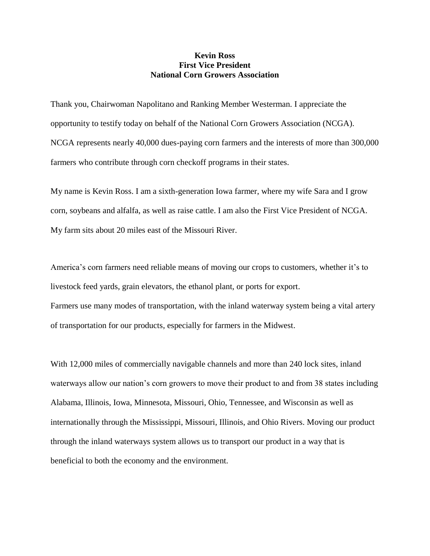## **Kevin Ross First Vice President National Corn Growers Association**

Thank you, Chairwoman Napolitano and Ranking Member Westerman. I appreciate the opportunity to testify today on behalf of the National Corn Growers Association (NCGA). NCGA represents nearly 40,000 dues-paying corn farmers and the interests of more than 300,000 farmers who contribute through corn checkoff programs in their states.

My name is Kevin Ross. I am a sixth-generation Iowa farmer, where my wife Sara and I grow corn, soybeans and alfalfa, as well as raise cattle. I am also the First Vice President of NCGA. My farm sits about 20 miles east of the Missouri River.

America's corn farmers need reliable means of moving our crops to customers, whether it's to livestock feed yards, grain elevators, the ethanol plant, or ports for export. Farmers use many modes of transportation, with the inland waterway system being a vital artery of transportation for our products, especially for farmers in the Midwest.

With 12,000 miles of commercially navigable channels and more than 240 lock sites, inland waterways allow our nation's corn growers to move their product to and from 38 states including Alabama, Illinois, Iowa, Minnesota, Missouri, Ohio, Tennessee, and Wisconsin as well as internationally through the Mississippi, Missouri, Illinois, and Ohio Rivers. Moving our product through the inland waterways system allows us to transport our product in a way that is beneficial to both the economy and the environment.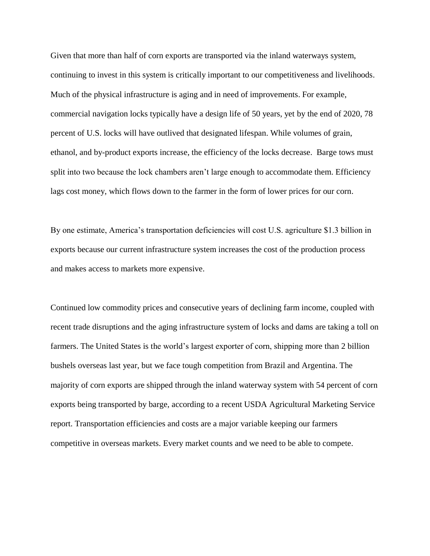Given that more than half of corn exports are transported via the inland waterways system, continuing to invest in this system is critically important to our competitiveness and livelihoods. Much of the physical infrastructure is aging and in need of improvements. For example, commercial navigation locks typically have a design life of 50 years, yet by the end of 2020, 78 percent of U.S. locks will have outlived that designated lifespan. While volumes of grain, ethanol, and by-product exports increase, the efficiency of the locks decrease. Barge tows must split into two because the lock chambers aren't large enough to accommodate them. Efficiency lags cost money, which flows down to the farmer in the form of lower prices for our corn.

By one estimate, America's transportation deficiencies will cost U.S. agriculture \$1.3 billion in exports because our current infrastructure system increases the cost of the production process and makes access to markets more expensive.

Continued low commodity prices and consecutive years of declining farm income, coupled with recent trade disruptions and the aging infrastructure system of locks and dams are taking a toll on farmers. The United States is the world's largest exporter of corn, shipping more than 2 billion bushels overseas last year, but we face tough competition from Brazil and Argentina. The majority of corn exports are shipped through the inland waterway system with 54 percent of corn exports being transported by barge, according to a recent USDA Agricultural Marketing Service report. Transportation efficiencies and costs are a major variable keeping our farmers competitive in overseas markets. Every market counts and we need to be able to compete.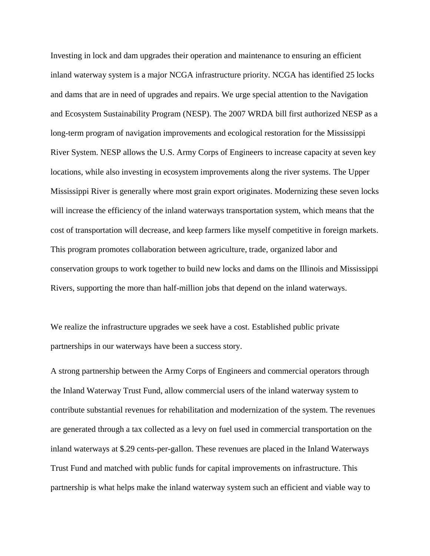Investing in lock and dam upgrades their operation and maintenance to ensuring an efficient inland waterway system is a major NCGA infrastructure priority. NCGA has identified 25 locks and dams that are in need of upgrades and repairs. We urge special attention to the Navigation and Ecosystem Sustainability Program (NESP). The 2007 WRDA bill first authorized NESP as a long-term program of navigation improvements and ecological restoration for the Mississippi River System. NESP allows the U.S. Army Corps of Engineers to increase capacity at seven key locations, while also investing in ecosystem improvements along the river systems. The Upper Mississippi River is generally where most grain export originates. Modernizing these seven locks will increase the efficiency of the inland waterways transportation system, which means that the cost of transportation will decrease, and keep farmers like myself competitive in foreign markets. This program promotes collaboration between agriculture, trade, organized labor and conservation groups to work together to build new locks and dams on the Illinois and Mississippi Rivers, supporting the more than half-million jobs that depend on the inland waterways.

We realize the infrastructure upgrades we seek have a cost. Established public private partnerships in our waterways have been a success story.

A strong partnership between the Army Corps of Engineers and commercial operators through the Inland Waterway Trust Fund, allow commercial users of the inland waterway system to contribute substantial revenues for rehabilitation and modernization of the system. The revenues are generated through a tax collected as a levy on fuel used in commercial transportation on the inland waterways at \$.29 cents-per-gallon. These revenues are placed in the Inland Waterways Trust Fund and matched with public funds for capital improvements on infrastructure. This partnership is what helps make the inland waterway system such an efficient and viable way to